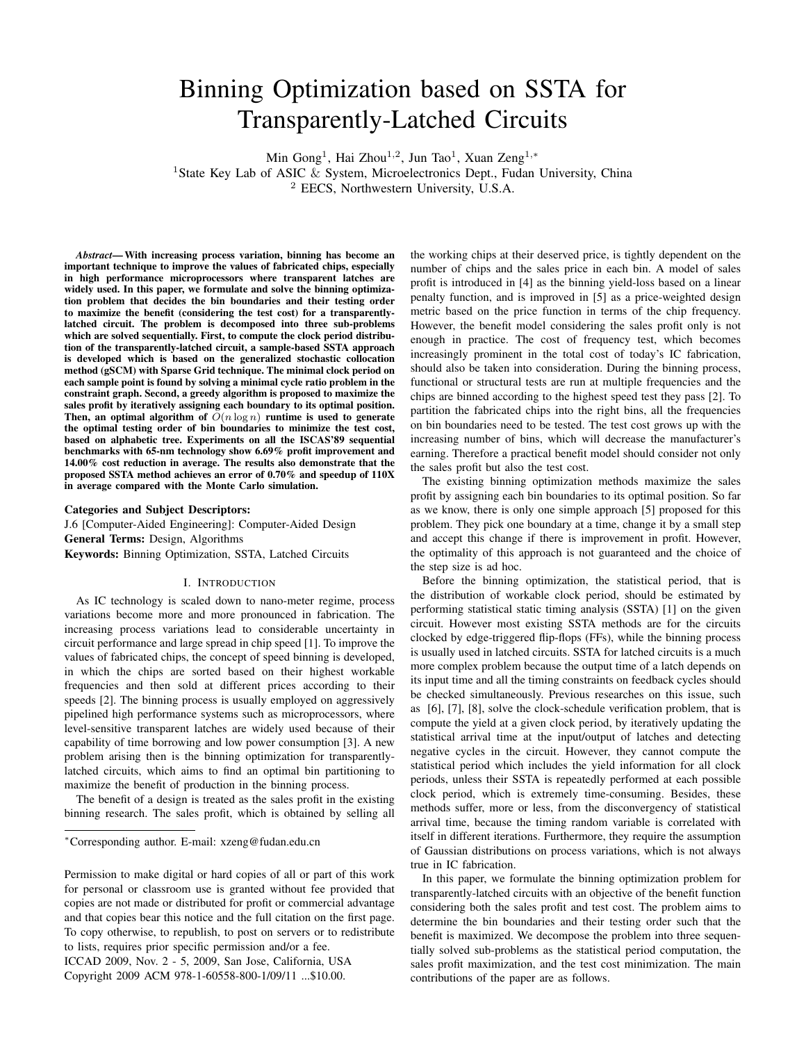# Binning Optimization based on SSTA for Transparently-Latched Circuits

Min Gong<sup>1</sup>, Hai Zhou<sup>1,2</sup>, Jun Tao<sup>1</sup>, Xuan Zeng<sup>1,\*</sup>

<sup>1</sup>State Key Lab of ASIC & System, Microelectronics Dept., Fudan University, China <sup>2</sup> EECS, Northwestern University, U.S.A.

*Abstract*— With increasing process variation, binning has become an important technique to improve the values of fabricated chips, especially in high performance microprocessors where transparent latches are widely used. In this paper, we formulate and solve the binning optimization problem that decides the bin boundaries and their testing order to maximize the benefit (considering the test cost) for a transparentlylatched circuit. The problem is decomposed into three sub-problems which are solved sequentially. First, to compute the clock period distribution of the transparently-latched circuit, a sample-based SSTA approach is developed which is based on the generalized stochastic collocation method (gSCM) with Sparse Grid technique. The minimal clock period on each sample point is found by solving a minimal cycle ratio problem in the constraint graph. Second, a greedy algorithm is proposed to maximize the sales profit by iteratively assigning each boundary to its optimal position. Then, an optimal algorithm of  $O(n \log n)$  runtime is used to generate the optimal testing order of bin boundaries to minimize the test cost, based on alphabetic tree. Experiments on all the ISCAS'89 sequential benchmarks with 65-nm technology show 6.69% profit improvement and 14.00% cost reduction in average. The results also demonstrate that the proposed SSTA method achieves an error of 0.70% and speedup of 110X in average compared with the Monte Carlo simulation.

Categories and Subject Descriptors:

J.6 [Computer-Aided Engineering]: Computer-Aided Design

General Terms: Design, Algorithms

Keywords: Binning Optimization, SSTA, Latched Circuits

# I. INTRODUCTION

As IC technology is scaled down to nano-meter regime, process variations become more and more pronounced in fabrication. The increasing process variations lead to considerable uncertainty in circuit performance and large spread in chip speed [1]. To improve the values of fabricated chips, the concept of speed binning is developed, in which the chips are sorted based on their highest workable frequencies and then sold at different prices according to their speeds [2]. The binning process is usually employed on aggressively pipelined high performance systems such as microprocessors, where level-sensitive transparent latches are widely used because of their capability of time borrowing and low power consumption [3]. A new problem arising then is the binning optimization for transparentlylatched circuits, which aims to find an optimal bin partitioning to maximize the benefit of production in the binning process.

The benefit of a design is treated as the sales profit in the existing binning research. The sales profit, which is obtained by selling all

<sup>∗</sup>Corresponding author. E-mail: xzeng@fudan.edu.cn

ICCAD 2009, Nov. 2 - 5, 2009, San Jose, California, USA Copyright 2009 ACM 978-1-60558-800-1/09/11 ...\$10.00.

the working chips at their deserved price, is tightly dependent on the number of chips and the sales price in each bin. A model of sales profit is introduced in [4] as the binning yield-loss based on a linear penalty function, and is improved in [5] as a price-weighted design metric based on the price function in terms of the chip frequency. However, the benefit model considering the sales profit only is not enough in practice. The cost of frequency test, which becomes increasingly prominent in the total cost of today's IC fabrication, should also be taken into consideration. During the binning process, functional or structural tests are run at multiple frequencies and the chips are binned according to the highest speed test they pass [2]. To partition the fabricated chips into the right bins, all the frequencies on bin boundaries need to be tested. The test cost grows up with the increasing number of bins, which will decrease the manufacturer's earning. Therefore a practical benefit model should consider not only the sales profit but also the test cost.

The existing binning optimization methods maximize the sales profit by assigning each bin boundaries to its optimal position. So far as we know, there is only one simple approach [5] proposed for this problem. They pick one boundary at a time, change it by a small step and accept this change if there is improvement in profit. However, the optimality of this approach is not guaranteed and the choice of the step size is ad hoc.

Before the binning optimization, the statistical period, that is the distribution of workable clock period, should be estimated by performing statistical static timing analysis (SSTA) [1] on the given circuit. However most existing SSTA methods are for the circuits clocked by edge-triggered flip-flops (FFs), while the binning process is usually used in latched circuits. SSTA for latched circuits is a much more complex problem because the output time of a latch depends on its input time and all the timing constraints on feedback cycles should be checked simultaneously. Previous researches on this issue, such as [6], [7], [8], solve the clock-schedule verification problem, that is compute the yield at a given clock period, by iteratively updating the statistical arrival time at the input/output of latches and detecting negative cycles in the circuit. However, they cannot compute the statistical period which includes the yield information for all clock periods, unless their SSTA is repeatedly performed at each possible clock period, which is extremely time-consuming. Besides, these methods suffer, more or less, from the disconvergency of statistical arrival time, because the timing random variable is correlated with itself in different iterations. Furthermore, they require the assumption of Gaussian distributions on process variations, which is not always true in IC fabrication.

In this paper, we formulate the binning optimization problem for transparently-latched circuits with an objective of the benefit function considering both the sales profit and test cost. The problem aims to determine the bin boundaries and their testing order such that the benefit is maximized. We decompose the problem into three sequentially solved sub-problems as the statistical period computation, the sales profit maximization, and the test cost minimization. The main contributions of the paper are as follows.

Permission to make digital or hard copies of all or part of this work for personal or classroom use is granted without fee provided that copies are not made or distributed for profit or commercial advantage and that copies bear this notice and the full citation on the first page. To copy otherwise, to republish, to post on servers or to redistribute to lists, requires prior specific permission and/or a fee.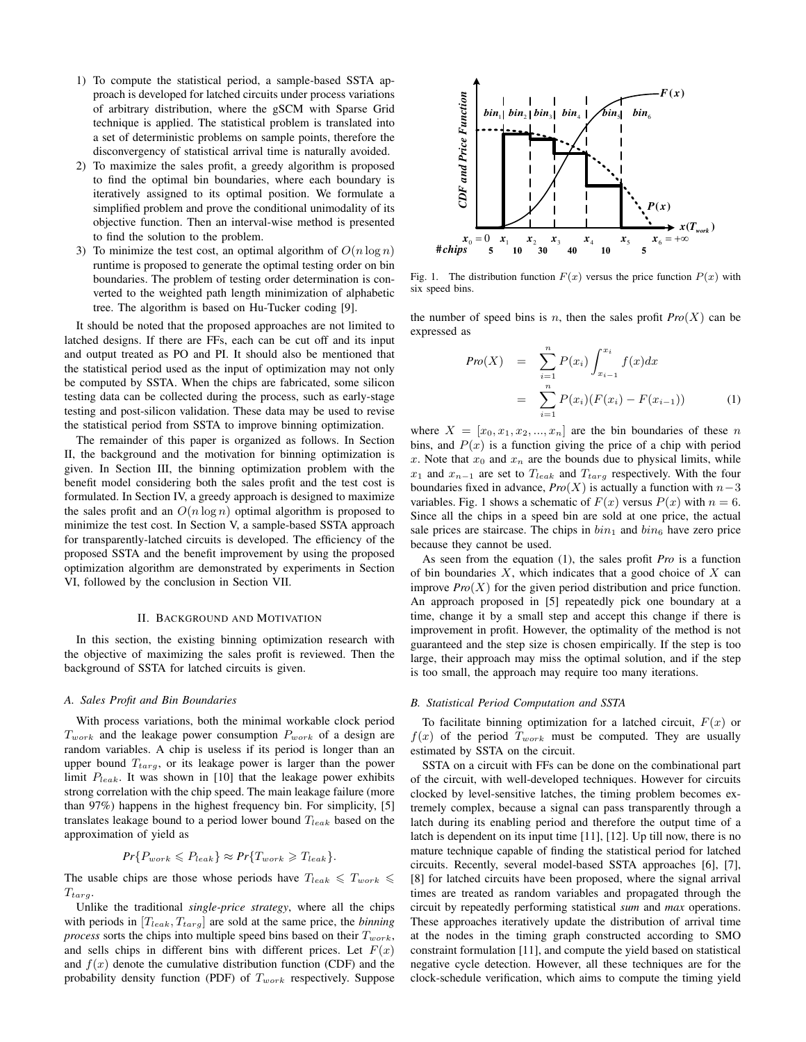- 1) To compute the statistical period, a sample-based SSTA approach is developed for latched circuits under process variations of arbitrary distribution, where the gSCM with Sparse Grid technique is applied. The statistical problem is translated into a set of deterministic problems on sample points, therefore the disconvergency of statistical arrival time is naturally avoided.
- 2) To maximize the sales profit, a greedy algorithm is proposed to find the optimal bin boundaries, where each boundary is iteratively assigned to its optimal position. We formulate a simplified problem and prove the conditional unimodality of its objective function. Then an interval-wise method is presented to find the solution to the problem.
- 3) To minimize the test cost, an optimal algorithm of  $O(n \log n)$ runtime is proposed to generate the optimal testing order on bin boundaries. The problem of testing order determination is converted to the weighted path length minimization of alphabetic tree. The algorithm is based on Hu-Tucker coding [9].

It should be noted that the proposed approaches are not limited to latched designs. If there are FFs, each can be cut off and its input and output treated as PO and PI. It should also be mentioned that the statistical period used as the input of optimization may not only be computed by SSTA. When the chips are fabricated, some silicon testing data can be collected during the process, such as early-stage testing and post-silicon validation. These data may be used to revise the statistical period from SSTA to improve binning optimization.

The remainder of this paper is organized as follows. In Section II, the background and the motivation for binning optimization is given. In Section III, the binning optimization problem with the benefit model considering both the sales profit and the test cost is formulated. In Section IV, a greedy approach is designed to maximize the sales profit and an  $O(n \log n)$  optimal algorithm is proposed to minimize the test cost. In Section V, a sample-based SSTA approach for transparently-latched circuits is developed. The efficiency of the proposed SSTA and the benefit improvement by using the proposed optimization algorithm are demonstrated by experiments in Section VI, followed by the conclusion in Section VII.

#### II. BACKGROUND AND MOTIVATION

In this section, the existing binning optimization research with the objective of maximizing the sales profit is reviewed. Then the background of SSTA for latched circuits is given.

## *A. Sales Profit and Bin Boundaries*

With process variations, both the minimal workable clock period  $T_{work}$  and the leakage power consumption  $P_{work}$  of a design are random variables. A chip is useless if its period is longer than an upper bound  $T_{targ}$ , or its leakage power is larger than the power limit  $P_{leak}$ . It was shown in [10] that the leakage power exhibits strong correlation with the chip speed. The main leakage failure (more than 97%) happens in the highest frequency bin. For simplicity, [5] translates leakage bound to a period lower bound  $T_{leak}$  based on the approximation of yield as

$$
Pr{P_{work} \leq P_{leak}} \approx Pr{T_{work}} \geq T_{leak}.
$$

The usable chips are those whose periods have  $T_{leak} \le T_{work} \le$  $T_{targ}.$ 

Unlike the traditional *single-price strategy*, where all the chips with periods in  $[T<sub>leak</sub>, T<sub>targ</sub>]$  are sold at the same price, the *binning process* sorts the chips into multiple speed bins based on their  $T_{work}$ , and sells chips in different bins with different prices. Let  $F(x)$ and  $f(x)$  denote the cumulative distribution function (CDF) and the probability density function (PDF) of  $T_{work}$  respectively. Suppose



Fig. 1. The distribution function  $F(x)$  versus the price function  $P(x)$  with six speed bins.

the number of speed bins is *n*, then the sales profit  $Pro(X)$  can be expressed as

$$
Pro(X) = \sum_{i=1}^{n} P(x_i) \int_{x_{i-1}}^{x_i} f(x) dx
$$

$$
= \sum_{i=1}^{n} P(x_i) (F(x_i) - F(x_{i-1})) \qquad (1)
$$

where  $X = [x_0, x_1, x_2, ..., x_n]$  are the bin boundaries of these n bins, and  $P(x)$  is a function giving the price of a chip with period x. Note that  $x_0$  and  $x_n$  are the bounds due to physical limits, while  $x_1$  and  $x_{n-1}$  are set to  $T_{leak}$  and  $T_{targ}$  respectively. With the four boundaries fixed in advance,  $Pro(X)$  is actually a function with  $n-3$ variables. Fig. 1 shows a schematic of  $F(x)$  versus  $P(x)$  with  $n = 6$ . Since all the chips in a speed bin are sold at one price, the actual sale prices are staircase. The chips in  $bin_1$  and  $bin_6$  have zero price because they cannot be used.

As seen from the equation (1), the sales profit *Pro* is a function of bin boundaries  $X$ , which indicates that a good choice of  $X$  can improve  $Pro(X)$  for the given period distribution and price function. An approach proposed in [5] repeatedly pick one boundary at a time, change it by a small step and accept this change if there is improvement in profit. However, the optimality of the method is not guaranteed and the step size is chosen empirically. If the step is too large, their approach may miss the optimal solution, and if the step is too small, the approach may require too many iterations.

## *B. Statistical Period Computation and SSTA*

To facilitate binning optimization for a latched circuit,  $F(x)$  or  $f(x)$  of the period  $T_{work}$  must be computed. They are usually estimated by SSTA on the circuit.

SSTA on a circuit with FFs can be done on the combinational part of the circuit, with well-developed techniques. However for circuits clocked by level-sensitive latches, the timing problem becomes extremely complex, because a signal can pass transparently through a latch during its enabling period and therefore the output time of a latch is dependent on its input time [11], [12]. Up till now, there is no mature technique capable of finding the statistical period for latched circuits. Recently, several model-based SSTA approaches [6], [7], [8] for latched circuits have been proposed, where the signal arrival times are treated as random variables and propagated through the circuit by repeatedly performing statistical *sum* and *max* operations. These approaches iteratively update the distribution of arrival time at the nodes in the timing graph constructed according to SMO constraint formulation [11], and compute the yield based on statistical negative cycle detection. However, all these techniques are for the clock-schedule verification, which aims to compute the timing yield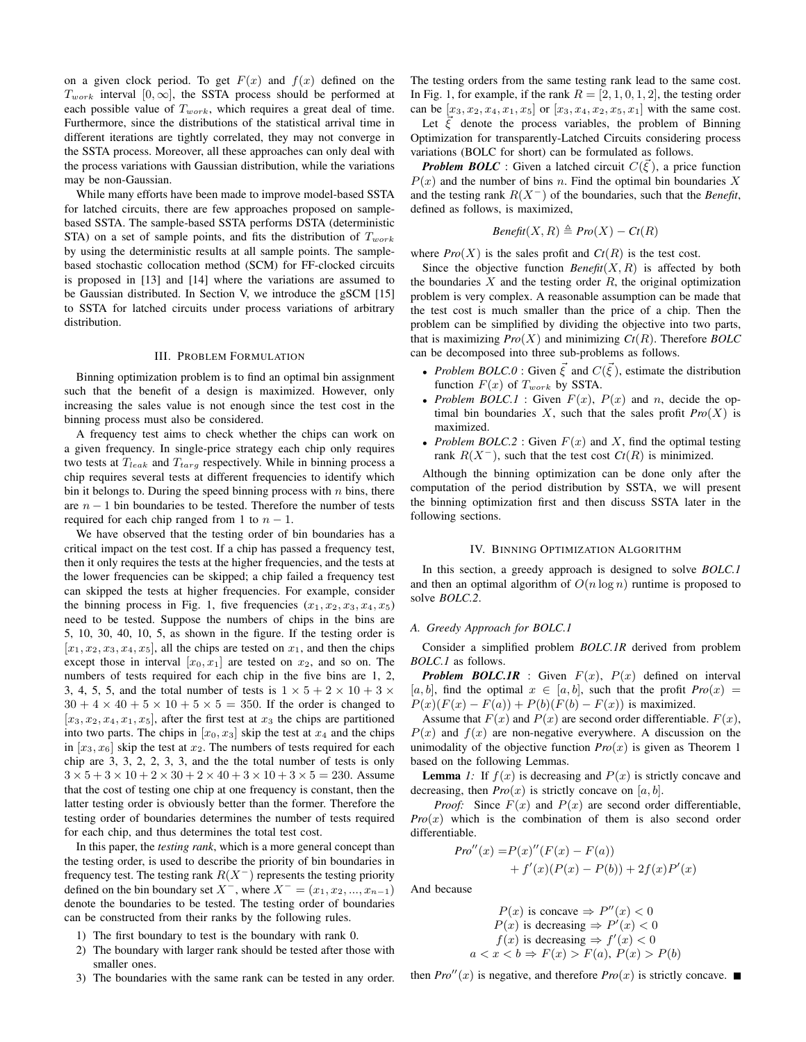on a given clock period. To get  $F(x)$  and  $f(x)$  defined on the  $T_{work}$  interval [0, ∞], the SSTA process should be performed at each possible value of  $T_{work}$ , which requires a great deal of time. Furthermore, since the distributions of the statistical arrival time in different iterations are tightly correlated, they may not converge in the SSTA process. Moreover, all these approaches can only deal with the process variations with Gaussian distribution, while the variations may be non-Gaussian.

While many efforts have been made to improve model-based SSTA for latched circuits, there are few approaches proposed on samplebased SSTA. The sample-based SSTA performs DSTA (deterministic STA) on a set of sample points, and fits the distribution of  $T_{work}$ by using the deterministic results at all sample points. The samplebased stochastic collocation method (SCM) for FF-clocked circuits is proposed in [13] and [14] where the variations are assumed to be Gaussian distributed. In Section V, we introduce the gSCM [15] to SSTA for latched circuits under process variations of arbitrary distribution.

#### III. PROBLEM FORMULATION

Binning optimization problem is to find an optimal bin assignment such that the benefit of a design is maximized. However, only increasing the sales value is not enough since the test cost in the binning process must also be considered.

A frequency test aims to check whether the chips can work on a given frequency. In single-price strategy each chip only requires two tests at  $T_{leak}$  and  $T_{targ}$  respectively. While in binning process a chip requires several tests at different frequencies to identify which bin it belongs to. During the speed binning process with  $n$  bins, there are  $n - 1$  bin boundaries to be tested. Therefore the number of tests required for each chip ranged from 1 to  $n - 1$ .

We have observed that the testing order of bin boundaries has a critical impact on the test cost. If a chip has passed a frequency test, then it only requires the tests at the higher frequencies, and the tests at the lower frequencies can be skipped; a chip failed a frequency test can skipped the tests at higher frequencies. For example, consider the binning process in Fig. 1, five frequencies  $(x_1, x_2, x_3, x_4, x_5)$ need to be tested. Suppose the numbers of chips in the bins are 5, 10, 30, 40, 10, 5, as shown in the figure. If the testing order is  $[x_1, x_2, x_3, x_4, x_5]$ , all the chips are tested on  $x_1$ , and then the chips except those in interval  $[x_0, x_1]$  are tested on  $x_2$ , and so on. The numbers of tests required for each chip in the five bins are 1, 2, 3, 4, 5, 5, and the total number of tests is  $1 \times 5 + 2 \times 10 + 3 \times$  $30 + 4 \times 40 + 5 \times 10 + 5 \times 5 = 350$ . If the order is changed to  $[x_3, x_2, x_4, x_1, x_5]$ , after the first test at  $x_3$  the chips are partitioned into two parts. The chips in  $[x_0, x_3]$  skip the test at  $x_4$  and the chips in  $[x_3, x_6]$  skip the test at  $x_2$ . The numbers of tests required for each chip are 3, 3, 2, 2, 3, 3, and the the total number of tests is only  $3 \times 5 + 3 \times 10 + 2 \times 30 + 2 \times 40 + 3 \times 10 + 3 \times 5 = 230$ . Assume that the cost of testing one chip at one frequency is constant, then the latter testing order is obviously better than the former. Therefore the testing order of boundaries determines the number of tests required for each chip, and thus determines the total test cost.

In this paper, the *testing rank*, which is a more general concept than the testing order, is used to describe the priority of bin boundaries in frequency test. The testing rank  $R(X^{-})$  represents the testing priority defined on the bin boundary set  $X^-$ , where  $X^- = (x_1, x_2, ..., x_{n-1})$ denote the boundaries to be tested. The testing order of boundaries can be constructed from their ranks by the following rules.

- 1) The first boundary to test is the boundary with rank 0.
- 2) The boundary with larger rank should be tested after those with smaller ones.
- 3) The boundaries with the same rank can be tested in any order.

The testing orders from the same testing rank lead to the same cost. In Fig. 1, for example, if the rank  $R = [2, 1, 0, 1, 2]$ , the testing order can be  $[x_3, x_2, x_4, x_1, x_5]$  or  $[x_3, x_4, x_2, x_5, x_1]$  with the same cost.

Let  $\xi$  denote the process variables, the problem of Binning Optimization for transparently-Latched Circuits considering process variations (BOLC for short) can be formulated as follows.

*Problem BOLC*: Given a latched circuit  $C(\vec{\xi})$ , a price function  $P(x)$  and the number of bins n. Find the optimal bin boundaries X and the testing rank  $R(X^{-})$  of the boundaries, such that the *Benefit*, defined as follows, is maximized,

$$
Beneft(X, R) \triangleq Pro(X) - Ct(R)
$$

where  $Pro(X)$  is the sales profit and  $Ct(R)$  is the test cost.

Since the objective function  $\text{Beneft}(X, R)$  is affected by both the boundaries  $X$  and the testing order  $R$ , the original optimization problem is very complex. A reasonable assumption can be made that the test cost is much smaller than the price of a chip. Then the problem can be simplified by dividing the objective into two parts, that is maximizing  $Pro(X)$  and minimizing  $Ct(R)$ . Therefore *BOLC* can be decomposed into three sub-problems as follows.

- *Problem BOLC.0* : Given  $\vec{\xi}$  and  $C(\vec{\xi})$ , estimate the distribution function  $F(x)$  of  $T_{work}$  by SSTA.
- *Problem BOLC.1* : Given  $F(x)$ ,  $P(x)$  and n, decide the optimal bin boundaries  $X$ , such that the sales profit  $Pro(X)$  is maximized.
- *Problem BOLC.2* : Given  $F(x)$  and X, find the optimal testing rank  $R(X^{-})$ , such that the test cost  $Ct(R)$  is minimized.

Although the binning optimization can be done only after the computation of the period distribution by SSTA, we will present the binning optimization first and then discuss SSTA later in the following sections.

## IV. BINNING OPTIMIZATION ALGORITHM

In this section, a greedy approach is designed to solve *BOLC.1* and then an optimal algorithm of  $O(n \log n)$  runtime is proposed to solve *BOLC.2*.

# *A. Greedy Approach for BOLC.1*

Consider a simplified problem *BOLC.1R* derived from problem *BOLC.1* as follows.

**Problem BOLC.1R** : Given  $F(x)$ ,  $P(x)$  defined on interval  $[a, b]$ , find the optimal  $x \in [a, b]$ , such that the profit  $Pro(x) =$  $P(x)(F(x) - F(a)) + P(b)(F(b) - F(x))$  is maximized.

Assume that  $F(x)$  and  $P(x)$  are second order differentiable.  $F(x)$ ,  $P(x)$  and  $f(x)$  are non-negative everywhere. A discussion on the unimodality of the objective function  $Pro(x)$  is given as Theorem 1 based on the following Lemmas.

**Lemma** *1*: If  $f(x)$  is decreasing and  $P(x)$  is strictly concave and decreasing, then  $Pro(x)$  is strictly concave on [a, b].

*Proof:* Since  $F(x)$  and  $P(x)$  are second order differentiable,  $Pro(x)$  which is the combination of them is also second order differentiable.

$$
Pro''(x) = P(x)''(F(x) - F(a)) + f'(x)(P(x) - P(b)) + 2f(x)P'(x)
$$

And because

$$
P(x) \text{ is concave} \Rightarrow P''(x) < 0
$$
\n
$$
P(x) \text{ is decreasing} \Rightarrow P'(x) < 0
$$
\n
$$
f(x) \text{ is decreasing} \Rightarrow f'(x) < 0
$$
\n
$$
a < x < b \Rightarrow F(x) > F(a), \quad P(x) > P(b)
$$

then  $Pro''(x)$  is negative, and therefore  $Pro(x)$  is strictly concave.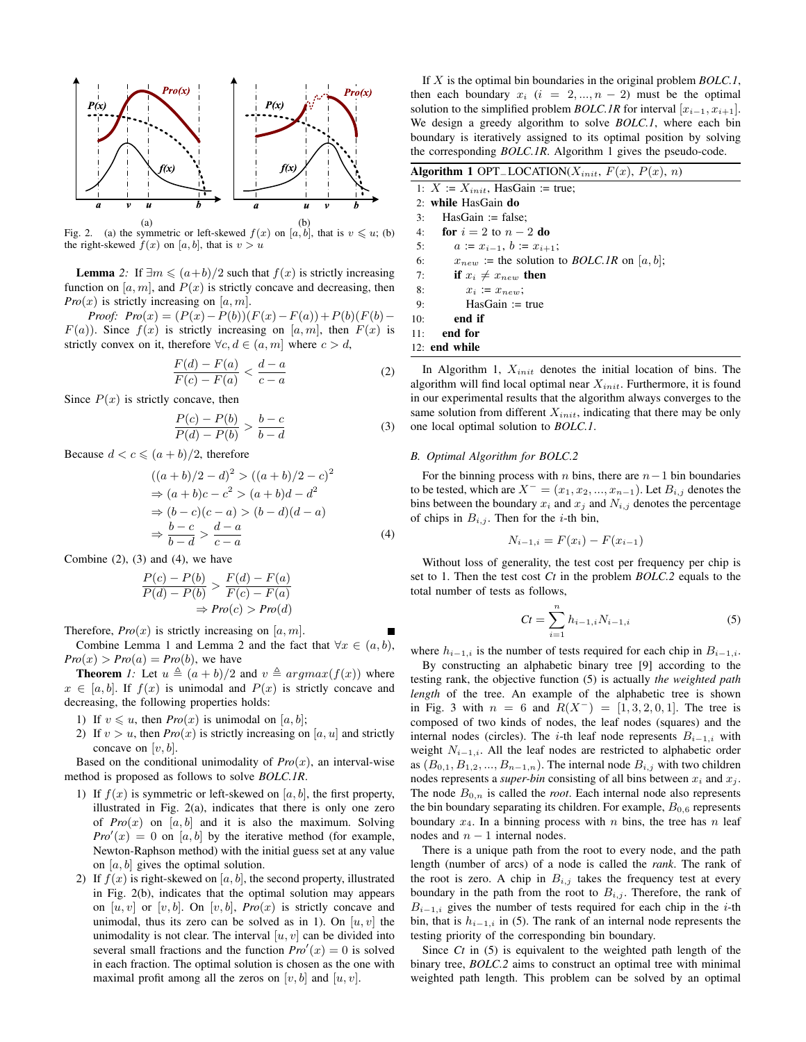

(a) (b)<br>Fig. 2. (a) the symmetric or left-skewed  $f(x)$  on [a, b], that is  $v \leq u$ ; (b) the right-skewed  $f(x)$  on [a, b], that is  $v > u$ 

**Lemma** 2: If  $\exists m \leq (a+b)/2$  such that  $f(x)$  is strictly increasing function on  $[a, m]$ , and  $P(x)$  is strictly concave and decreasing, then *Pro* $(x)$  is strictly increasing on [a, m].

*Proof:*  $Pro(x) = (P(x) - P(b))(F(x) - F(a)) + P(b)(F(b) F(a)$ ). Since  $f(x)$  is strictly increasing on [a, m], then  $F(x)$  is strictly convex on it, therefore  $\forall c, d \in (a, m]$  where  $c > d$ ,

$$
\frac{F(d) - F(a)}{F(c) - F(a)} < \frac{d - a}{c - a} \tag{2}
$$

Since  $P(x)$  is strictly concave, then

$$
\frac{P(c) - P(b)}{P(d) - P(b)} > \frac{b - c}{b - d}
$$
 (3)

Because  $d < c \leqslant (a + b)/2$ , therefore

$$
((a+b)/2-d)^2 > ((a+b)/2-c)^2
$$
  
\n
$$
\Rightarrow (a+b)c - c^2 > (a+b)d - d^2
$$
  
\n
$$
\Rightarrow (b-c)(c-a) > (b-d)(d-a)
$$
  
\n
$$
\Rightarrow \frac{b-c}{b-d} > \frac{d-a}{c-a}
$$
 (4)

Combine  $(2)$ ,  $(3)$  and  $(4)$ , we have

$$
\frac{P(c) - P(b)}{P(d) - P(b)} > \frac{F(d) - F(a)}{F(c) - F(a)}
$$
  
\n
$$
\Rightarrow Pro(c) > Pro(d)
$$

Therefore,  $Pro(x)$  is strictly increasing on [a, m].

Combine Lemma 1 and Lemma 2 and the fact that  $\forall x \in (a, b)$ ,  $Pro(x) > Pro(a) = Pro(b)$ , we have

**Theorem** *1*: Let  $u \triangleq (a + b)/2$  and  $v \triangleq argmax(f(x))$  where  $x \in [a, b]$ . If  $f(x)$  is unimodal and  $P(x)$  is strictly concave and decreasing, the following properties holds:

- 1) If  $v \leq u$ , then *Pro* $(x)$  is unimodal on [a, b];
- 2) If  $v > u$ , then  $Pro(x)$  is strictly increasing on [a, u] and strictly concave on  $[v, b]$ .

Based on the conditional unimodality of  $Pro(x)$ , an interval-wise method is proposed as follows to solve *BOLC.1R*.

- 1) If  $f(x)$  is symmetric or left-skewed on [a, b], the first property, illustrated in Fig. 2(a), indicates that there is only one zero of  $Pro(x)$  on  $[a, b]$  and it is also the maximum. Solving  $Pro'(x) = 0$  on [a, b] by the iterative method (for example, Newton-Raphson method) with the initial guess set at any value on  $[a, b]$  gives the optimal solution.
- 2) If  $f(x)$  is right-skewed on [a, b], the second property, illustrated in Fig. 2(b), indicates that the optimal solution may appears on  $[u, v]$  or  $[v, b]$ . On  $[v, b]$ ,  $Pro(x)$  is strictly concave and unimodal, thus its zero can be solved as in 1). On  $[u, v]$  the unimodality is not clear. The interval  $[u, v]$  can be divided into several small fractions and the function  $Pro'(x) = 0$  is solved in each fraction. The optimal solution is chosen as the one with maximal profit among all the zeros on  $[v, b]$  and  $[u, v]$ .

If X is the optimal bin boundaries in the original problem *BOLC.1*, then each boundary  $x_i$  ( $i = 2, ..., n - 2$ ) must be the optimal solution to the simplified problem *BOLC.1R* for interval  $[x_{i-1}, x_{i+1}]$ . We design a greedy algorithm to solve *BOLC.1*, where each bin boundary is iteratively assigned to its optimal position by solving the corresponding *BOLC.1R*. Algorithm 1 gives the pseudo-code.

|     | Algorithm 1 OPT_LOCATION( $X_{init}$ , $F(x)$ , $P(x)$ , $n)$                                                                                         |
|-----|-------------------------------------------------------------------------------------------------------------------------------------------------------|
|     | 1: $X := X_{init}$ , HasGain := true;                                                                                                                 |
|     | 2: while HasGain do                                                                                                                                   |
| 3:  | $HasGain := false$ :                                                                                                                                  |
| 4:  | for $i=2$ to $n-2$ do                                                                                                                                 |
| 5:  | $a := x_{i-1}, b := x_{i+1}$                                                                                                                          |
| 6:  | $x_{new}$ := the solution to <i>BOLC.IR</i> on [a, b];                                                                                                |
| 7:  | if $x_i \neq x_{new}$ then                                                                                                                            |
| 8:  | $x_i := x_{new}$                                                                                                                                      |
| 9:  | $HasGain := true$                                                                                                                                     |
| 10: | end if                                                                                                                                                |
| 11: | end for                                                                                                                                               |
|     | $12:$ end while                                                                                                                                       |
|     | In Algorithm 1, $X_{init}$ denotes the initial location of bins. The<br>algorithm will find local optimal near $Y_{\cdot}$ . Eurthermore, it is found |

algorithm will find local optimal near  $X_{init}$ . Furthermore, it is found in our experimental results that the algorithm always converges to the same solution from different  $X_{init}$ , indicating that there may be only one local optimal solution to *BOLC.1*.

# *B. Optimal Algorithm for BOLC.2*

For the binning process with *n* bins, there are  $n-1$  bin boundaries to be tested, which are  $X^- = (x_1, x_2, ..., x_{n-1})$ . Let  $B_{i,j}$  denotes the bins between the boundary  $x_i$  and  $x_j$  and  $N_{i,j}$  denotes the percentage of chips in  $B_{i,j}$ . Then for the *i*-th bin,

$$
N_{i-1,i} = F(x_i) - F(x_{i-1})
$$

Without loss of generality, the test cost per frequency per chip is set to 1. Then the test cost *Ct* in the problem *BOLC.2* equals to the total number of tests as follows,

$$
Ct = \sum_{i=1}^{n} h_{i-1,i} N_{i-1,i}
$$
 (5)

where  $h_{i-1,i}$  is the number of tests required for each chip in  $B_{i-1,i}$ .

By constructing an alphabetic binary tree [9] according to the testing rank, the objective function (5) is actually *the weighted path length* of the tree. An example of the alphabetic tree is shown in Fig. 3 with  $n = 6$  and  $R(X^{-}) = [1, 3, 2, 0, 1]$ . The tree is composed of two kinds of nodes, the leaf nodes (squares) and the internal nodes (circles). The i-th leaf node represents  $B_{i-1,i}$  with weight  $N_{i-1,i}$ . All the leaf nodes are restricted to alphabetic order as  $(B_{0,1}, B_{1,2}, ..., B_{n-1,n})$ . The internal node  $B_{i,j}$  with two children nodes represents a *super-bin* consisting of all bins between  $x_i$  and  $x_j$ . The node  $B_{0,n}$  is called the *root*. Each internal node also represents the bin boundary separating its children. For example,  $B_{0.6}$  represents boundary  $x_4$ . In a binning process with n bins, the tree has n leaf nodes and  $n - 1$  internal nodes.

There is a unique path from the root to every node, and the path length (number of arcs) of a node is called the *rank*. The rank of the root is zero. A chip in  $B_{i,j}$  takes the frequency test at every boundary in the path from the root to  $B_{i,j}$ . Therefore, the rank of  $B_{i-1,i}$  gives the number of tests required for each chip in the *i*-th bin, that is  $h_{i-1,i}$  in (5). The rank of an internal node represents the testing priority of the corresponding bin boundary.

Since *Ct* in (5) is equivalent to the weighted path length of the binary tree, *BOLC.2* aims to construct an optimal tree with minimal weighted path length. This problem can be solved by an optimal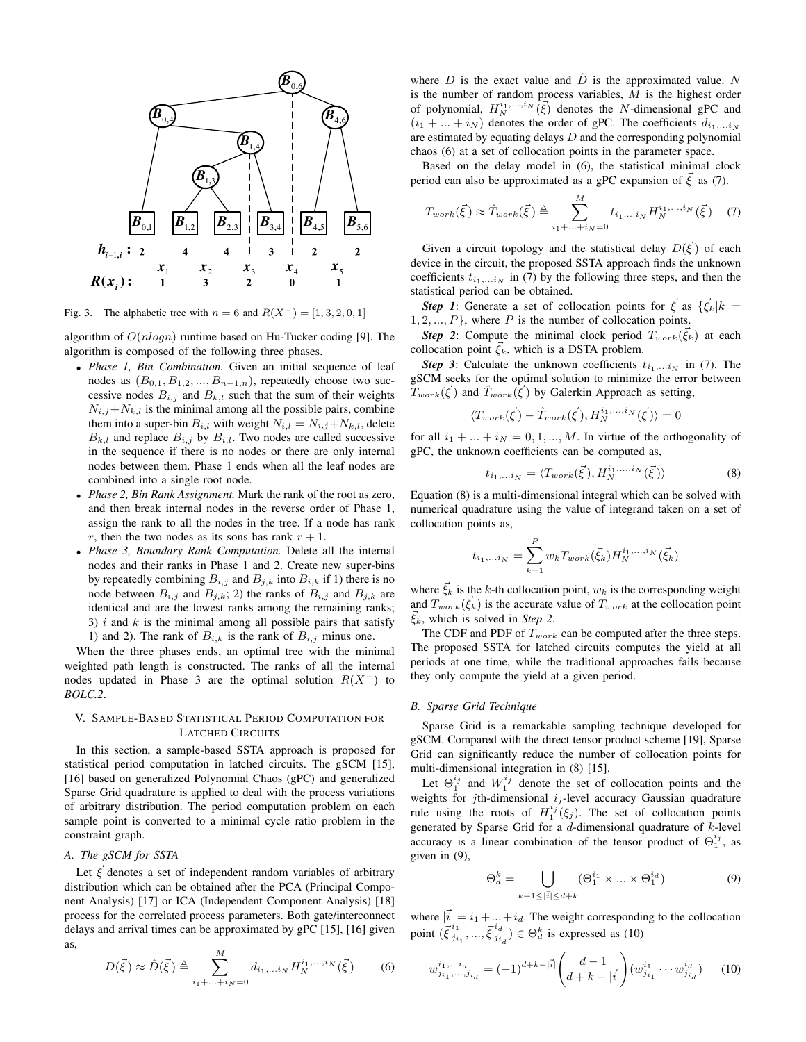

Fig. 3. The alphabetic tree with  $n = 6$  and  $R(X^-) = [1, 3, 2, 0, 1]$ 

algorithm of  $O(n \log n)$  runtime based on Hu-Tucker coding [9]. The algorithm is composed of the following three phases.

- *Phase 1, Bin Combination.* Given an initial sequence of leaf nodes as  $(B_{0,1}, B_{1,2}, ..., B_{n-1,n})$ , repeatedly choose two successive nodes  $B_{i,j}$  and  $B_{k,l}$  such that the sum of their weights  $N_{i,j}+N_{k,l}$  is the minimal among all the possible pairs, combine them into a super-bin  $B_{i,l}$  with weight  $N_{i,l} = N_{i,j} + N_{k,l}$ , delete  $B_{k,l}$  and replace  $B_{i,j}$  by  $B_{i,l}$ . Two nodes are called successive in the sequence if there is no nodes or there are only internal nodes between them. Phase 1 ends when all the leaf nodes are combined into a single root node.
- *Phase 2, Bin Rank Assignment.* Mark the rank of the root as zero, and then break internal nodes in the reverse order of Phase 1, assign the rank to all the nodes in the tree. If a node has rank r, then the two nodes as its sons has rank  $r + 1$ .
- *Phase 3, Boundary Rank Computation.* Delete all the internal nodes and their ranks in Phase 1 and 2. Create new super-bins by repeatedly combining  $B_{i,j}$  and  $B_{j,k}$  into  $B_{i,k}$  if 1) there is no node between  $B_{i,j}$  and  $B_{j,k}$ ; 2) the ranks of  $B_{i,j}$  and  $B_{j,k}$  are identical and are the lowest ranks among the remaining ranks; 3)  $i$  and  $k$  is the minimal among all possible pairs that satisfy 1) and 2). The rank of  $B_{i,k}$  is the rank of  $B_{i,j}$  minus one.

When the three phases ends, an optimal tree with the minimal weighted path length is constructed. The ranks of all the internal nodes updated in Phase 3 are the optimal solution  $R(X^-)$  to *BOLC.2*.

# V. SAMPLE-BASED STATISTICAL PERIOD COMPUTATION FOR LATCHED CIRCUITS

In this section, a sample-based SSTA approach is proposed for statistical period computation in latched circuits. The gSCM [15], [16] based on generalized Polynomial Chaos (gPC) and generalized Sparse Grid quadrature is applied to deal with the process variations of arbitrary distribution. The period computation problem on each sample point is converted to a minimal cycle ratio problem in the constraint graph.

# *A. The gSCM for SSTA*

Let  $\vec{\xi}$  denotes a set of independent random variables of arbitrary distribution which can be obtained after the PCA (Principal Component Analysis) [17] or ICA (Independent Component Analysis) [18] process for the correlated process parameters. Both gate/interconnect delays and arrival times can be approximated by gPC [15], [16] given as,

$$
D(\vec{\xi}) \approx \hat{D}(\vec{\xi}) \triangleq \sum_{i_1 + \dots + i_N = 0}^{M} d_{i_1, \dots i_N} H_N^{i_1, \dots, i_N}(\vec{\xi}) \tag{6}
$$

where D is the exact value and  $\hat{D}$  is the approximated value. N is the number of random process variables,  $M$  is the highest order of polynomial,  $H_N^{i_1,...,i_N}(\vec{\xi})$  denotes the N-dimensional gPC and  $(i_1 + ... + i_N)$  denotes the order of gPC. The coefficients  $d_{i_1,...i_N}$ are estimated by equating delays  $D$  and the corresponding polynomial chaos (6) at a set of collocation points in the parameter space.

Based on the delay model in (6), the statistical minimal clock period can also be approximated as a gPC expansion of  $\overline{\xi}$  as (7).

$$
T_{work}(\vec{\xi}) \approx \hat{T}_{work}(\vec{\xi}) \triangleq \sum_{i_1 + ... + i_N = 0}^{M} t_{i_1,...i_N} H_N^{i_1,...i_N}(\vec{\xi}) \quad (7)
$$

Given a circuit topology and the statistical delay  $D(\vec{\xi})$  of each device in the circuit, the proposed SSTA approach finds the unknown coefficients  $t_{i_1,\ldots i_N}$  in (7) by the following three steps, and then the statistical period can be obtained.

**Step 1:** Generate a set of collocation points for  $\vec{\xi}$  as  $\{\vec{\xi}_k|k =$  $1, 2, \ldots, P$ , where P is the number of collocation points.

**Step 2:** Compute the minimal clock period  $T_{work}(\vec{\xi}_k)$  at each collocation point  $\xi_k$ , which is a DSTA problem.

**Step 3**: Calculate the unknown coefficients  $t_{i_1,...i_N}$  in (7). The gSCM seeks for the optimal solution to minimize the error between  $\widetilde{T}_{work}(\vec{\xi})$  and  $\hat{T}_{work}(\vec{\xi})$  by Galerkin Approach as setting,

$$
\langle T_{work}(\vec{\xi}) - \hat{T}_{work}(\vec{\xi}), H_N^{i_1,...,i_N}(\vec{\xi}) \rangle = 0
$$

for all  $i_1 + ... + i_N = 0, 1, ..., M$ . In virtue of the orthogonality of gPC, the unknown coefficients can be computed as,

$$
t_{i_1,\ldots i_N} = \langle T_{work}(\vec{\xi}), H_N^{i_1,\ldots,i_N}(\vec{\xi}) \rangle \tag{8}
$$

Equation (8) is a multi-dimensional integral which can be solved with numerical quadrature using the value of integrand taken on a set of collocation points as,

$$
t_{i_1,...i_N} = \sum_{k=1}^{P} w_k T_{work}(\vec{\xi}_k) H_N^{i_1,...,i_N}(\vec{\xi}_k)
$$

where  $\xi_k$  is the k-th collocation point,  $w_k$  is the corresponding weight and  $T_{work}(\vec{\xi}_k)$  is the accurate value of  $T_{work}$  at the collocation point  $\xi_k$ , which is solved in *Step 2*.

The CDF and PDF of  $T_{work}$  can be computed after the three steps. The proposed SSTA for latched circuits computes the yield at all periods at one time, while the traditional approaches fails because they only compute the yield at a given period.

# *B. Sparse Grid Technique*

Sparse Grid is a remarkable sampling technique developed for gSCM. Compared with the direct tensor product scheme [19], Sparse Grid can significantly reduce the number of collocation points for multi-dimensional integration in (8) [15].

Let  $\Theta_1^{i_j}$  and  $W_1^{i_j}$  denote the set of collocation points and the weights for jth-dimensional  $i_j$ -level accuracy Gaussian quadrature rule using the roots of  $H_1^{i_j}(\xi_j)$ . The set of collocation points generated by Sparse Grid for a  $d$ -dimensional quadrature of  $k$ -level accuracy is a linear combination of the tensor product of  $\Theta_1^{i_j}$ , as given in (9),

$$
\Theta_d^k = \bigcup_{k+1 \le |\vec{i}| \le d+k} (\Theta_1^{i_1} \times \dots \times \Theta_1^{i_d}) \tag{9}
$$

where  $|\vec{i}| = i_1 + ... + i_d$ . The weight corresponding to the collocation point  $(\vec{\xi}^{i_1}_{i_2})$  $\frac{i_1}{j_{i_1}},...,\vec{\xi}^{i_d}_{j_i}$  $j_{i_d}^{i_d}$ )  $\in \Theta_d^k$  is expressed as (10)

$$
w_{j_{i_1},\dots,j_{i_d}}^{i_1,\dots,i_d} = (-1)^{d+k-|\vec{i}|} \binom{d-1}{d+k-|\vec{i}|} (w_{j_{i_1}}^{i_1} \cdots w_{j_{i_d}}^{i_d}) \qquad (10)
$$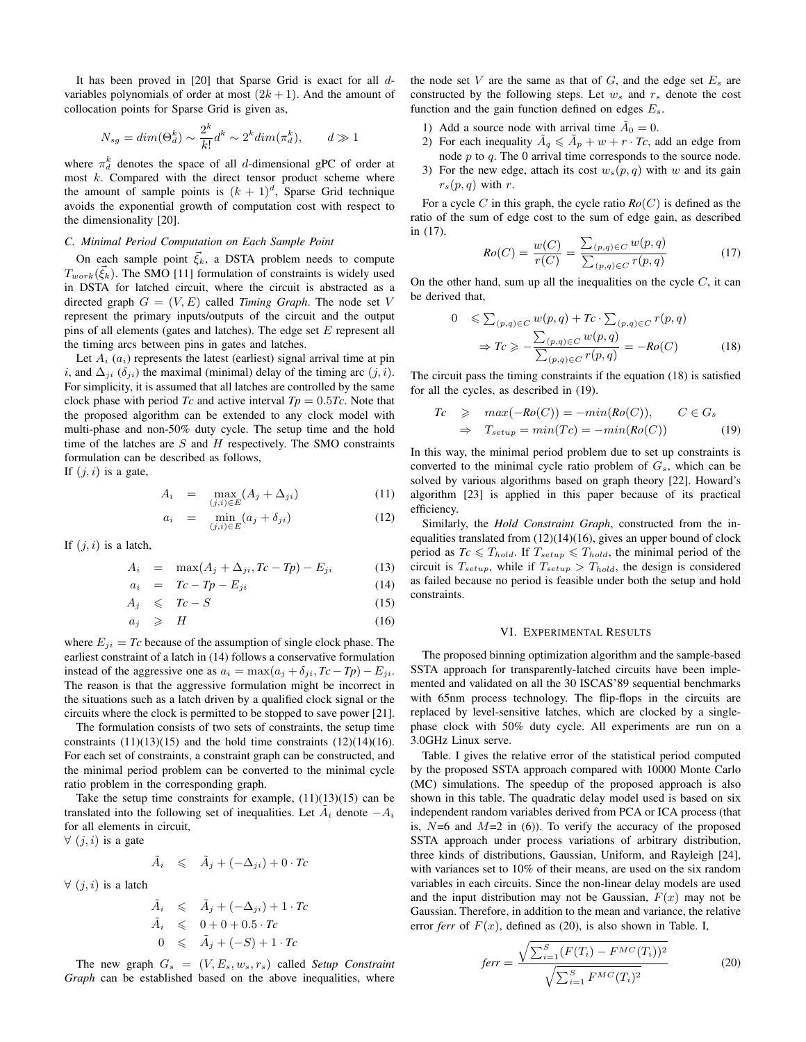It has been proved in [20] that Sparse Grid is exact for all dvariables polynomials of order at most  $(2k + 1)$ . And the amount of collocation points for Sparse Grid is given as,

$$
N_{sg} = dim(\Theta_d^k) \sim \frac{2^k}{k!} d^k \sim 2^k dim(\pi_d^k), \qquad d \gg 1
$$

where  $\pi_d^k$  denotes the space of all *d*-dimensional gPC of order at most  $k$ . Compared with the direct tensor product scheme where the amount of sample points is  $(k + 1)<sup>d</sup>$ , Sparse Grid technique avoids the exponential growth of computation cost with respect to the dimensionality [20].

### *C. Minimal Period Computation on Each Sample Point*

On each sample point  $\vec{\xi}_k$ , a DSTA problem needs to compute  $T_{work}(\vec{\xi}_k)$ . The SMO [11] formulation of constraints is widely used in DSTA for latched circuit, where the circuit is abstracted as a directed graph  $G = (V, E)$  called *Timing Graph*. The node set V represent the primary inputs/outputs of the circuit and the output pins of all elements (gates and latches). The edge set  $E$  represent all the timing arcs between pins in gates and latches.

Let  $A_i$  ( $a_i$ ) represents the latest (earliest) signal arrival time at pin i, and  $\Delta_{ii}$  ( $\delta_{ii}$ ) the maximal (minimal) delay of the timing arc  $(j, i)$ . For simplicity, it is assumed that all latches are controlled by the same clock phase with period *Tc* and active interval  $Tp = 0.5Tc$ . Note that the proposed algorithm can be extended to any clock model with multi-phase and non-50% duty cycle. The setup time and the hold time of the latches are  $S$  and  $H$  respectively. The SMO constraints formulation can be described as follows,

If  $(j, i)$  is a gate,

$$
A_i = \max_{(j,i)\in E} (A_j + \Delta_{ji})
$$
 (11)

$$
a_i = \min_{(j,i)\in E} (a_j + \delta_{ji}) \tag{12}
$$

If  $(j, i)$  is a latch,

$$
A_i = \max(A_j + \Delta_{ji}, T_c - T_p) - E_{ji} \tag{13}
$$

 $a_i = Tc - Tp - E_{ji}$  (14)

$$
A_j \leqslant Tc-S \tag{15}
$$

$$
a_j \geqslant H \tag{16}
$$

where  $E_{ji} = Tc$  because of the assumption of single clock phase. The earliest constraint of a latch in (14) follows a conservative formulation instead of the aggressive one as  $a_i = \max(a_j + \delta_{ji}, Tc - Tp) - E_{ji}$ . The reason is that the aggressive formulation might be incorrect in the situations such as a latch driven by a qualified clock signal or the circuits where the clock is permitted to be stopped to save power [21].

The formulation consists of two sets of constraints, the setup time constraints  $(11)(13)(15)$  and the hold time constraints  $(12)(14)(16)$ . For each set of constraints, a constraint graph can be constructed, and the minimal period problem can be converted to the minimal cycle ratio problem in the corresponding graph.

Take the setup time constraints for example,  $(11)(13)(15)$  can be translated into the following set of inequalities. Let  $\tilde{A}_i$  denote  $-A_i$ for all elements in circuit,

 $\forall$   $(j, i)$  is a gate

$$
\tilde{A}_i \leq \tilde{A}_j + (-\Delta_{ji}) + 0 \cdot T_c
$$

 $\forall$   $(j, i)$  is a latch

$$
\tilde{A}_i \leq \tilde{A}_j + (-\Delta_{ji}) + 1 \cdot Tc
$$
  
\n
$$
\tilde{A}_i \leq 0 + 0 + 0.5 \cdot Tc
$$
  
\n
$$
0 \leq \tilde{A}_j + (-S) + 1 \cdot Tc
$$

The new graph  $G_s = (V, E_s, w_s, r_s)$  called *Setup Constraint Graph* can be established based on the above inequalities, where the node set  $V$  are the same as that of  $G$ , and the edge set  $E<sub>s</sub>$  are constructed by the following steps. Let  $w_s$  and  $r_s$  denote the cost function and the gain function defined on edges  $E_s$ .

- 1) Add a source node with arrival time  $\tilde{A}_0 = 0$ .
- 2) For each inequality  $A_q \leq A_p + w + r \cdot T_c$ , add an edge from node  $p$  to  $q$ . The 0 arrival time corresponds to the source node.
- 3) For the new edge, attach its cost  $w_s(p, q)$  with w and its gain  $r_s(p,q)$  with r.

For a cycle C in this graph, the cycle ratio *Ro*(C) is defined as the ratio of the sum of edge cost to the sum of edge gain, as described in (17).

$$
Ro(C) = \frac{w(C)}{r(C)} = \frac{\sum_{(p,q)\in C} w(p,q)}{\sum_{(p,q)\in C} r(p,q)}\tag{17}
$$

On the other hand, sum up all the inequalities on the cycle  $C$ , it can be derived that,

$$
0 \leqslant \sum_{(p,q)\in C} w(p,q) + T_c \cdot \sum_{(p,q)\in C} r(p,q)
$$
  
\n
$$
\Rightarrow T_c \geqslant -\frac{\sum_{(p,q)\in C} w(p,q)}{\sum_{(p,q)\in C} r(p,q)} = -R_o(C) \tag{18}
$$

The circuit pass the timing constraints if the equation (18) is satisfied for all the cycles, as described in (19).

$$
Tc \geq \max(-Ro(C)) = -\min(Ro(C)), \qquad C \in G_s
$$
  

$$
\Rightarrow T_{setup} = \min(Tc) = -\min(Ro(C)) \tag{19}
$$

In this way, the minimal period problem due to set up constraints is converted to the minimal cycle ratio problem of  $G_s$ , which can be solved by various algorithms based on graph theory [22]. Howard's algorithm [23] is applied in this paper because of its practical efficiency.

Similarly, the *Hold Constraint Graph*, constructed from the inequalities translated from  $(12)(14)(16)$ , gives an upper bound of clock period as  $T_c \leq T_{hold}$ . If  $T_{setup} \leq T_{hold}$ , the minimal period of the circuit is  $T_{setup}$ , while if  $T_{setup} > T_{hold}$ , the design is considered as failed because no period is feasible under both the setup and hold constraints.

#### VI. EXPERIMENTAL RESULTS

The proposed binning optimization algorithm and the sample-based SSTA approach for transparently-latched circuits have been implemented and validated on all the 30 ISCAS'89 sequential benchmarks with 65nm process technology. The flip-flops in the circuits are replaced by level-sensitive latches, which are clocked by a singlephase clock with 50% duty cycle. All experiments are run on a 3.0GHz Linux serve.

Table. I gives the relative error of the statistical period computed by the proposed SSTA approach compared with 10000 Monte Carlo (MC) simulations. The speedup of the proposed approach is also shown in this table. The quadratic delay model used is based on six independent random variables derived from PCA or ICA process (that is,  $N=6$  and  $M=2$  in (6)). To verify the accuracy of the proposed SSTA approach under process variations of arbitrary distribution, three kinds of distributions, Gaussian, Uniform, and Rayleigh [24], with variances set to 10% of their means, are used on the six random variables in each circuits. Since the non-linear delay models are used and the input distribution may not be Gaussian,  $F(x)$  may not be Gaussian. Therefore, in addition to the mean and variance, the relative error *ferr* of  $F(x)$ , defined as (20), is also shown in Table. I,

$$
ferr = \frac{\sqrt{\sum_{i=1}^{S} (F(T_i) - F^{MC}(T_i))^2}}{\sqrt{\sum_{i=1}^{S} F^{MC}(T_i)^2}}
$$
(20)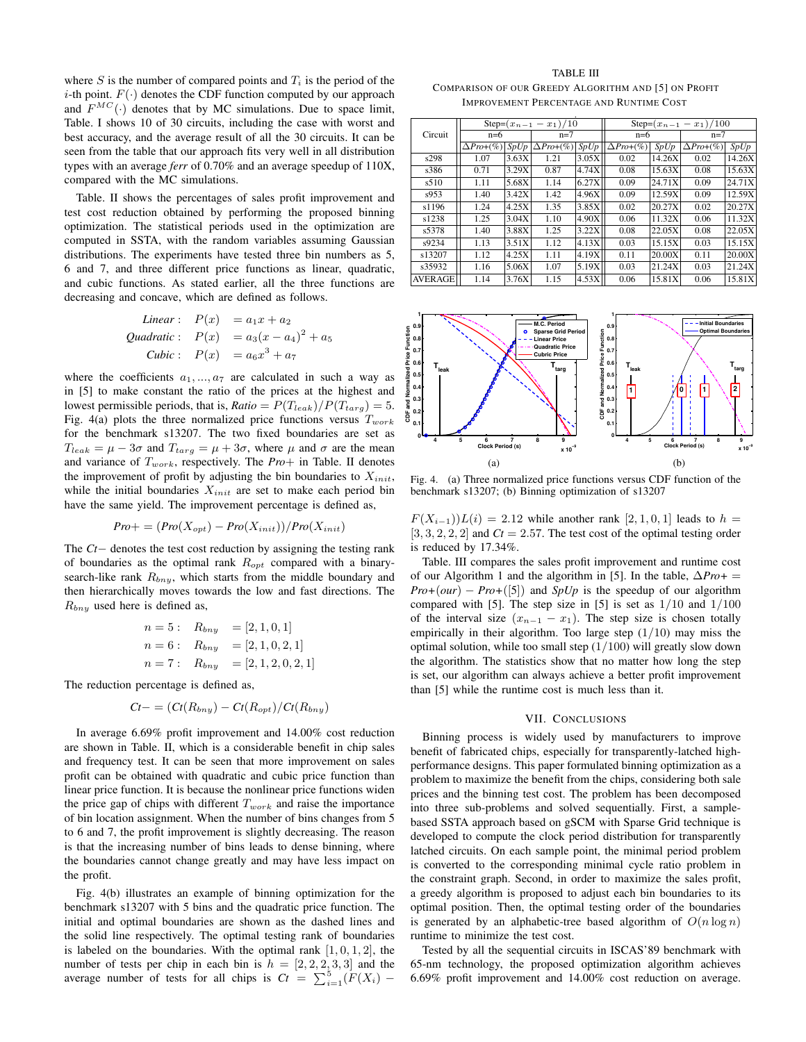where  $S$  is the number of compared points and  $T_i$  is the period of the *i*-th point.  $F(\cdot)$  denotes the CDF function computed by our approach and  $F^{MC}(\cdot)$  denotes that by MC simulations. Due to space limit, Table. I shows 10 of 30 circuits, including the case with worst and best accuracy, and the average result of all the 30 circuits. It can be seen from the table that our approach fits very well in all distribution types with an average *ferr* of 0.70% and an average speedup of 110X, compared with the MC simulations.

Table. II shows the percentages of sales profit improvement and test cost reduction obtained by performing the proposed binning optimization. The statistical periods used in the optimization are computed in SSTA, with the random variables assuming Gaussian distributions. The experiments have tested three bin numbers as 5, 6 and 7, and three different price functions as linear, quadratic, and cubic functions. As stated earlier, all the three functions are decreasing and concave, which are defined as follows.

*Linear*: 
$$
P(x) = a_1x + a_2
$$
  
\n*Quadratic*:  $P(x) = a_3(x - a_4)^2 + a_5$   
\n*Cubic*:  $P(x) = a_6x^3 + a_7$ 

where the coefficients  $a_1, ..., a_7$  are calculated in such a way as in [5] to make constant the ratio of the prices at the highest and lowest permissible periods, that is,  $Ratio = P(T_{leak})/P(T_{targ}) = 5$ . Fig. 4(a) plots the three normalized price functions versus  $T_{work}$ for the benchmark s13207. The two fixed boundaries are set as  $T_{leak} = \mu - 3\sigma$  and  $T_{targ} = \mu + 3\sigma$ , where  $\mu$  and  $\sigma$  are the mean and variance of Twork, respectively. The *Pro*+ in Table. II denotes the improvement of profit by adjusting the bin boundaries to  $X_{init}$ , while the initial boundaries  $X_{init}$  are set to make each period bin have the same yield. The improvement percentage is defined as,

$$
Pro+ = (Pro(X_{opt}) - Pro(X_{init}))/Pro(X_{init})
$$

The *Ct*− denotes the test cost reduction by assigning the testing rank of boundaries as the optimal rank  $R_{opt}$  compared with a binarysearch-like rank  $R_{bny}$ , which starts from the middle boundary and then hierarchically moves towards the low and fast directions. The  $R_{bny}$  used here is defined as,

$$
n = 5: \quad R_{bny} = [2, 1, 0, 1]
$$
  
\n
$$
n = 6: \quad R_{bny} = [2, 1, 0, 2, 1]
$$
  
\n
$$
n = 7: \quad R_{bny} = [2, 1, 2, 0, 2, 1]
$$

The reduction percentage is defined as,

$$
Ct-=(Ct(R_{bny})-Ct(R_{opt})/Ct(R_{bny})
$$

In average 6.69% profit improvement and 14.00% cost reduction are shown in Table. II, which is a considerable benefit in chip sales and frequency test. It can be seen that more improvement on sales profit can be obtained with quadratic and cubic price function than linear price function. It is because the nonlinear price functions widen the price gap of chips with different  $T_{work}$  and raise the importance of bin location assignment. When the number of bins changes from 5 to 6 and 7, the profit improvement is slightly decreasing. The reason is that the increasing number of bins leads to dense binning, where the boundaries cannot change greatly and may have less impact on the profit.

Fig. 4(b) illustrates an example of binning optimization for the benchmark s13207 with 5 bins and the quadratic price function. The initial and optimal boundaries are shown as the dashed lines and the solid line respectively. The optimal testing rank of boundaries is labeled on the boundaries. With the optimal rank  $[1, 0, 1, 2]$ , the number of tests per chip in each bin is  $h = [2, 2, 2, 3, 3]$  and the average number of tests for all chips is  $Ct = \sum_{i=1}^{5} (F(X_i))$ 

TABLE III COMPARISON OF OUR GREEDY ALGORITHM AND [5] ON PROFIT IMPROVEMENT PERCENTAGE AND RUNTIME COST

|                |                 |       | Step= $(x_{n-1} - x_1)/10$ |       |                  |        | Step= $(x_{n-1} - x_1)/100$ |        |  |
|----------------|-----------------|-------|----------------------------|-------|------------------|--------|-----------------------------|--------|--|
| Circuit        | $n=6$           |       | $n=7$                      |       | $n=6$            |        | $n=7$                       |        |  |
|                | $\Delta Pro+(%$ | SpUp  | $\Delta Pro+(%) SpUp$      |       | $\Delta Pro+(%)$ | SpUp   | $\Delta Pro+(%$             | SpUp   |  |
| s298           | 1.07            | 3.63X | 1.21                       | 3.05X | 0.02             | 14.26X | 0.02                        | 14.26X |  |
| s386           | 0.71            | 3.29X | 0.87                       | 4.74X | 0.08             | 15.63X | 0.08                        | 15.63X |  |
| s510           | 1.11            | 5.68X | 1.14                       | 6.27X | 0.09             | 24.71X | 0.09                        | 24.71X |  |
| s953           | 1.40            | 3.42X | 1.42                       | 4.96X | 0.09             | 12.59X | 0.09                        | 12.59X |  |
| s1196          | 1.24            | 4.25X | 1.35                       | 3.85X | 0.02             | 20.27X | 0.02                        | 20.27X |  |
| s1238          | 1.25            | 3.04X | 1.10                       | 4.90X | 0.06             | 11.32X | 0.06                        | 11.32X |  |
| s5378          | 1.40            | 3.88X | 1.25                       | 3.22X | 0.08             | 22.05X | 0.08                        | 22.05X |  |
| s9234          | 1.13            | 3.51X | 1.12                       | 4.13X | 0.03             | 15.15X | 0.03                        | 15.15X |  |
| s13207         | 1.12            | 4.25X | 1.11                       | 4.19X | 0.11             | 20.00X | 0.11                        | 20.00X |  |
| s35932         | 1.16            | 5.06X | 1.07                       | 5.19X | 0.03             | 21.24X | 0.03                        | 21.24X |  |
| <b>AVERAGE</b> | 1.14            | 3.76X | 1.15                       | 4.53X | 0.06             | 15.81X | 0.06                        | 15.81X |  |



Fig. 4. (a) Three normalized price functions versus CDF function of the benchmark s13207; (b) Binning optimization of s13207

 $F(X_{i-1})$ ) $L(i) = 2.12$  while another rank [2, 1, 0, 1] leads to  $h =$  $[3, 3, 2, 2, 2]$  and  $Ct = 2.57$ . The test cost of the optimal testing order is reduced by 17.34%.

Table. III compares the sales profit improvement and runtime cost of our Algorithm 1 and the algorithm in [5]. In the table, ∆*Pro+* =  $Pro+(our) - Pro+(5)$  and *SpUp* is the speedup of our algorithm compared with [5]. The step size in [5] is set as  $1/10$  and  $1/100$ of the interval size  $(x_{n-1} - x_1)$ . The step size is chosen totally empirically in their algorithm. Too large step  $(1/10)$  may miss the optimal solution, while too small step (1/100) will greatly slow down the algorithm. The statistics show that no matter how long the step is set, our algorithm can always achieve a better profit improvement than [5] while the runtime cost is much less than it.

## VII. CONCLUSIONS

Binning process is widely used by manufacturers to improve benefit of fabricated chips, especially for transparently-latched highperformance designs. This paper formulated binning optimization as a problem to maximize the benefit from the chips, considering both sale prices and the binning test cost. The problem has been decomposed into three sub-problems and solved sequentially. First, a samplebased SSTA approach based on gSCM with Sparse Grid technique is developed to compute the clock period distribution for transparently latched circuits. On each sample point, the minimal period problem is converted to the corresponding minimal cycle ratio problem in the constraint graph. Second, in order to maximize the sales profit, a greedy algorithm is proposed to adjust each bin boundaries to its optimal position. Then, the optimal testing order of the boundaries is generated by an alphabetic-tree based algorithm of  $O(n \log n)$ runtime to minimize the test cost.

Tested by all the sequential circuits in ISCAS'89 benchmark with 65-nm technology, the proposed optimization algorithm achieves 6.69% profit improvement and 14.00% cost reduction on average.